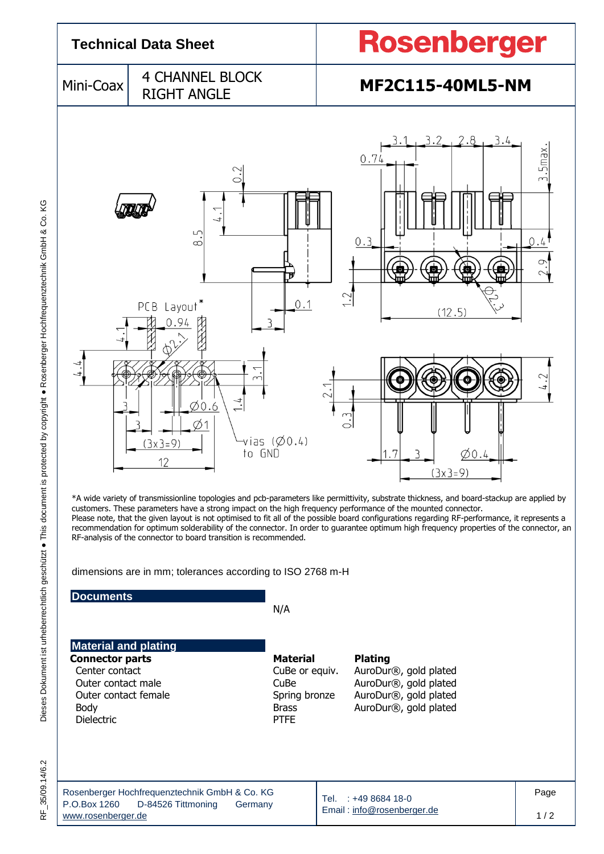

dimensions are in mm; tolerances according to ISO 2768 m-H

RF-analysis of the connector to board transition is recommended.

## **Documents**

N/A

| <b>Material and plating</b> |                 |                       |  |
|-----------------------------|-----------------|-----------------------|--|
| <b>Connector parts</b>      | <b>Material</b> | <b>Plating</b>        |  |
| Center contact              | CuBe or equiv.  | AuroDur®, gold plated |  |
| Outer contact male          | CuBe            | AuroDur®, gold plated |  |
| Outer contact female        | Spring bronze   | AuroDur®, gold plated |  |
| Body                        | <b>Brass</b>    | AuroDur®, gold plated |  |
| <b>Dielectric</b>           | <b>PTFE</b>     |                       |  |

RF\_35/09.14/6.2

| Rosenberger Hochfrequenztechnik GmbH & Co. KG | Tel. : +49 8684 18-0       | Page |
|-----------------------------------------------|----------------------------|------|
| P.O.Box 1260<br>D-84526 Tittmoning<br>Germany | Email: info@rosenberger.de |      |
| www.rosenberaer.de                            |                            | 1/2  |